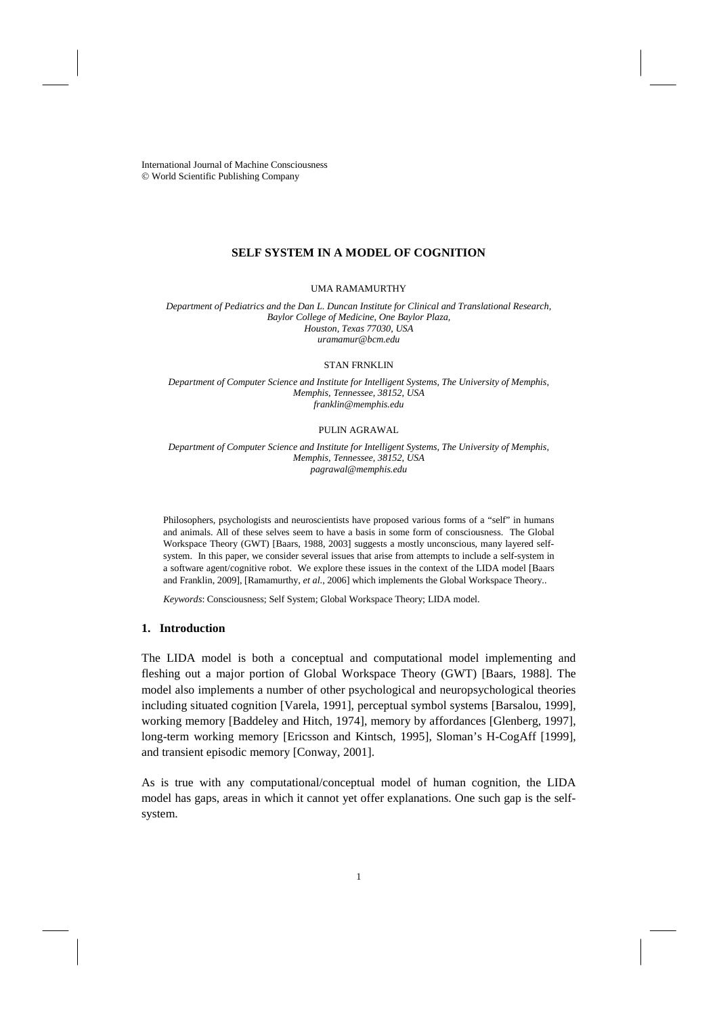International Journal of Machine Consciousness World Scientific Publishing Company

# **SELF SYSTEM IN A MODEL OF COGNITION**

# UMA RAMAMURTHY

*Department of Pediatrics and the Dan L. Duncan Institute for Clinical and Translational Research, Baylor College of Medicine, One Baylor Plaza, Houston, Texas 77030, USA uramamur@bcm.edu*

#### STAN FRNKLIN

*Department of Computer Science and Institute for Intelligent Systems, The University of Memphis, Memphis, Tennessee, 38152, USA franklin@memphis.edu*

# PULIN AGRAWAL

*Department of Computer Science and Institute for Intelligent Systems, The University of Memphis, Memphis, Tennessee, 38152, USA pagrawal@memphis.edu*

Philosophers, psychologists and neuroscientists have proposed various forms of a "self" in humans and animals. All of these selves seem to have a basis in some form of consciousness. The Global Workspace Theory (GWT) [Baars, 1988, 2003] suggests a mostly unconscious, many layered selfsystem. In this paper, we consider several issues that arise from attempts to include a self-system in a software agent/cognitive robot. We explore these issues in the context of the LIDA model [Baars and Franklin, 2009], [Ramamurthy, *et al*., 2006] which implements the Global Workspace Theory..

*Keywords*: Consciousness; Self System; Global Workspace Theory; LIDA model.

### **1. Introduction**

The LIDA model is both a conceptual and computational model implementing and fleshing out a major portion of Global Workspace Theory (GWT) [Baars, 1988]. The model also implements a number of other psychological and neuropsychological theories including situated cognition [Varela, 1991], perceptual symbol systems [Barsalou, 1999], working memory [Baddeley and Hitch, 1974], memory by affordances [Glenberg, 1997], long-term working memory [Ericsson and Kintsch, 1995], Sloman's H-CogAff [1999], and transient episodic memory [Conway, 2001].

As is true with any computational/conceptual model of human cognition, the LIDA model has gaps, areas in which it cannot yet offer explanations. One such gap is the selfsystem.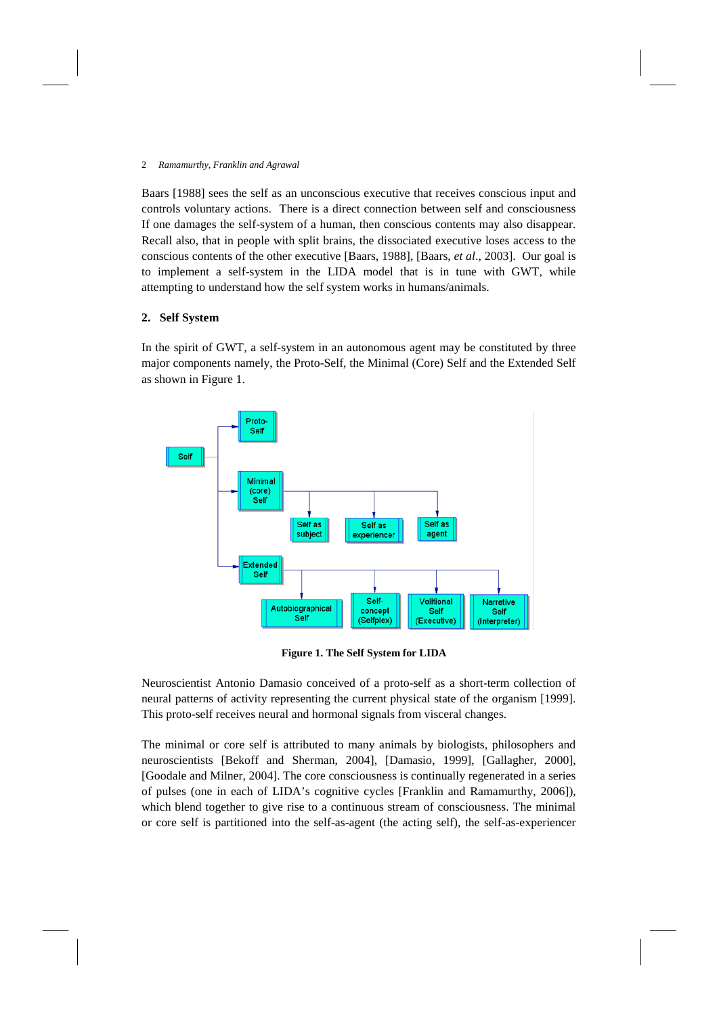Baars [1988] sees the self as an unconscious executive that receives conscious input and controls voluntary actions. There is a direct connection between self and consciousness If one damages the self-system of a human, then conscious contents may also disappear. Recall also, that in people with split brains, the dissociated executive loses access to the conscious contents of the other executive [Baars, 1988], [Baars, *et al*., 2003]. Our goal is to implement a self-system in the LIDA model that is in tune with GWT, while attempting to understand how the self system works in humans/animals.

### **2. Self System**

In the spirit of GWT, a self-system in an autonomous agent may be constituted by three major components namely, the Proto-Self, the Minimal (Core) Self and the Extended Self as shown in Figure 1.



**Figure 1. The Self System for LIDA**

Neuroscientist Antonio Damasio conceived of a proto-self as a short-term collection of neural patterns of activity representing the current physical state of the organism [1999]. This proto-self receives neural and hormonal signals from visceral changes.

The minimal or core self is attributed to many animals by biologists, philosophers and neuroscientists [Bekoff and Sherman, 2004], [Damasio, 1999], [Gallagher, 2000], [Goodale and Milner, 2004]. The core consciousness is continually regenerated in a series of pulses (one in each of LIDA's cognitive cycles [Franklin and Ramamurthy, 2006]), which blend together to give rise to a continuous stream of consciousness. The minimal or core self is partitioned into the self-as-agent (the acting self), the self-as-experiencer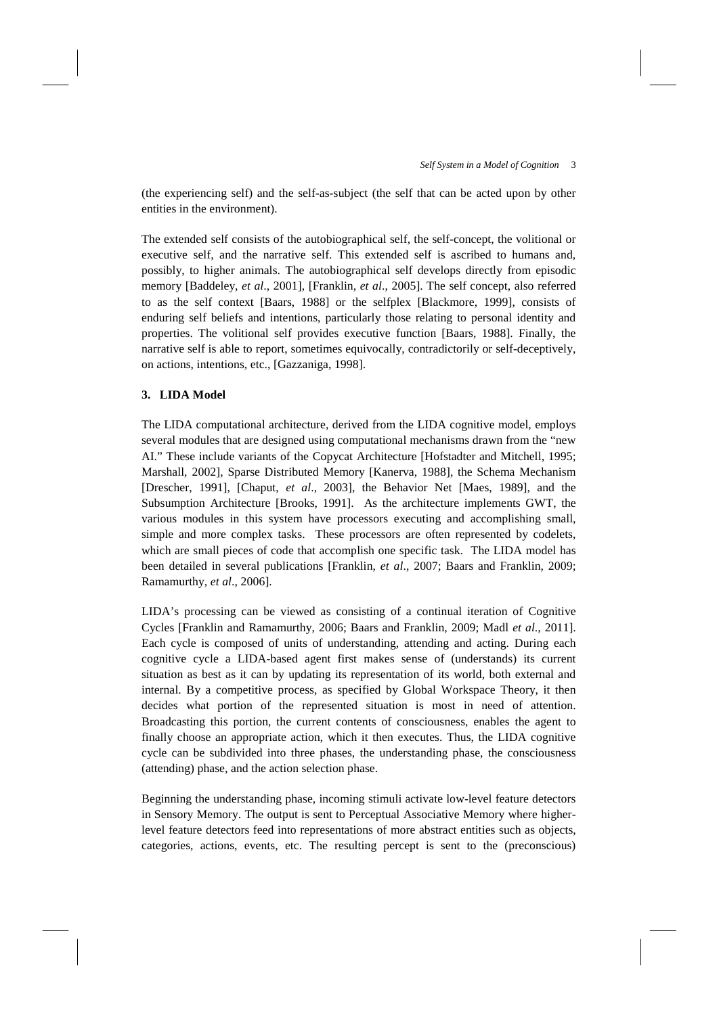(the experiencing self) and the self-as-subject (the self that can be acted upon by other entities in the environment).

The extended self consists of the autobiographical self, the self-concept, the volitional or executive self, and the narrative self. This extended self is ascribed to humans and, possibly, to higher animals. The autobiographical self develops directly from episodic memory [Baddeley, *et al*., 2001], [Franklin, *et al*., 2005]. The self concept, also referred to as the self context [Baars, 1988] or the selfplex [Blackmore, 1999], consists of enduring self beliefs and intentions, particularly those relating to personal identity and properties. The volitional self provides executive function [Baars, 1988]. Finally, the narrative self is able to report, sometimes equivocally, contradictorily or self-deceptively, on actions, intentions, etc., [Gazzaniga, 1998].

# **3. LIDA Model**

The LIDA computational architecture, derived from the LIDA cognitive model, employs several modules that are designed using computational mechanisms drawn from the "new AI." These include variants of the Copycat Architecture [Hofstadter and Mitchell, 1995; Marshall, 2002], Sparse Distributed Memory [Kanerva, 1988], the Schema Mechanism [Drescher, 1991], [Chaput, *et al*., 2003], the Behavior Net [Maes, 1989], and the Subsumption Architecture [Brooks, 1991]. As the architecture implements GWT, the various modules in this system have processors executing and accomplishing small, simple and more complex tasks. These processors are often represented by codelets, which are small pieces of code that accomplish one specific task. The LIDA model has been detailed in several publications [Franklin, *et al*., 2007; Baars and Franklin, 2009; Ramamurthy, *et al*., 2006].

LIDA's processing can be viewed as consisting of a continual iteration of Cognitive Cycles [Franklin and Ramamurthy, 2006; Baars and Franklin, 2009; Madl *et al*., 2011]. Each cycle is composed of units of understanding, attending and acting. During each cognitive cycle a LIDA-based agent first makes sense of (understands) its current situation as best as it can by updating its representation of its world, both external and internal. By a competitive process, as specified by Global Workspace Theory, it then decides what portion of the represented situation is most in need of attention. Broadcasting this portion, the current contents of consciousness, enables the agent to finally choose an appropriate action, which it then executes. Thus, the LIDA cognitive cycle can be subdivided into three phases, the understanding phase, the consciousness (attending) phase, and the action selection phase.

Beginning the understanding phase, incoming stimuli activate low-level feature detectors in Sensory Memory. The output is sent to Perceptual Associative Memory where higherlevel feature detectors feed into representations of more abstract entities such as objects, categories, actions, events, etc. The resulting percept is sent to the (preconscious)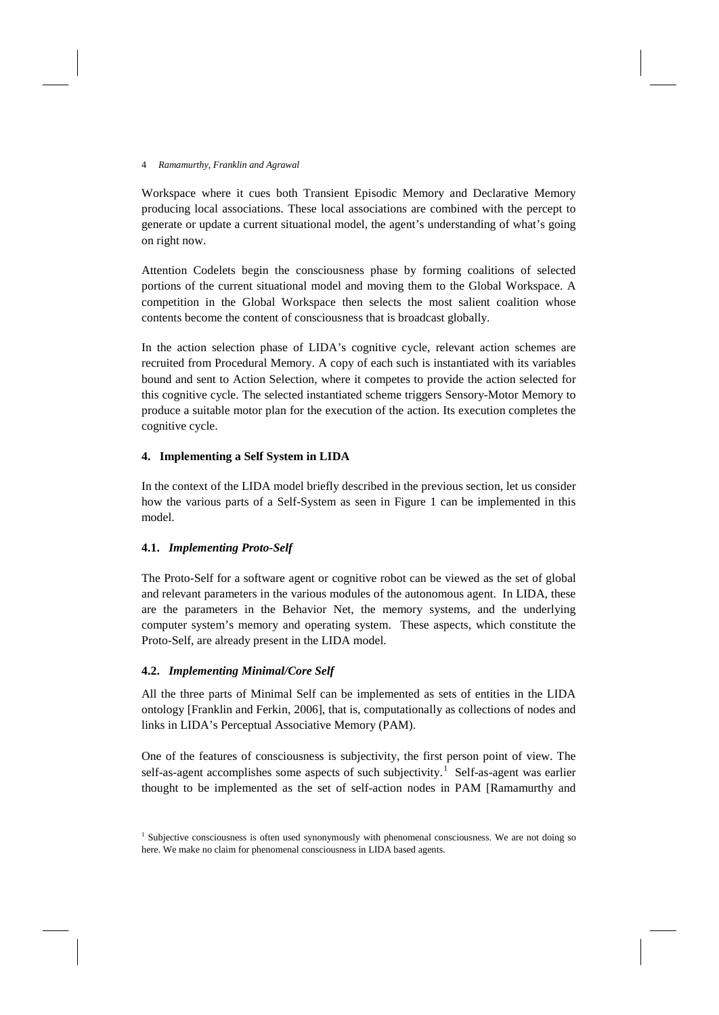Workspace where it cues both Transient Episodic Memory and Declarative Memory producing local associations. These local associations are combined with the percept to generate or update a current situational model, the agent's understanding of what's going on right now.

Attention Codelets begin the consciousness phase by forming coalitions of selected portions of the current situational model and moving them to the Global Workspace. A competition in the Global Workspace then selects the most salient coalition whose contents become the content of consciousness that is broadcast globally.

In the action selection phase of LIDA's cognitive cycle, relevant action schemes are recruited from Procedural Memory. A copy of each such is instantiated with its variables bound and sent to Action Selection, where it competes to provide the action selected for this cognitive cycle. The selected instantiated scheme triggers Sensory-Motor Memory to produce a suitable motor plan for the execution of the action. Its execution completes the cognitive cycle.

# **4. Implementing a Self System in LIDA**

In the context of the LIDA model briefly described in the previous section, let us consider how the various parts of a Self-System as seen in Figure 1 can be implemented in this model.

# **4.1.** *Implementing Proto-Self*

The Proto-Self for a software agent or cognitive robot can be viewed as the set of global and relevant parameters in the various modules of the autonomous agent. In LIDA, these are the parameters in the Behavior Net, the memory systems, and the underlying computer system's memory and operating system. These aspects, which constitute the Proto-Self, are already present in the LIDA model.

### **4.2.** *Implementing Minimal/Core Self*

All the three parts of Minimal Self can be implemented as sets of entities in the LIDA ontology [Franklin and Ferkin, 2006], that is, computationally as collections of nodes and links in LIDA's Perceptual Associative Memory (PAM).

One of the features of consciousness is subjectivity, the first person point of view. The self-as-agent accomplishes some aspects of such subjectivity.<sup>[1](#page-3-0)</sup> Self-as-agent was earlier thought to be implemented as the set of self-action nodes in PAM [Ramamurthy and

<span id="page-3-0"></span><sup>&</sup>lt;sup>1</sup> Subjective consciousness is often used synonymously with phenomenal consciousness. We are not doing so here. We make no claim for phenomenal consciousness in LIDA based agents.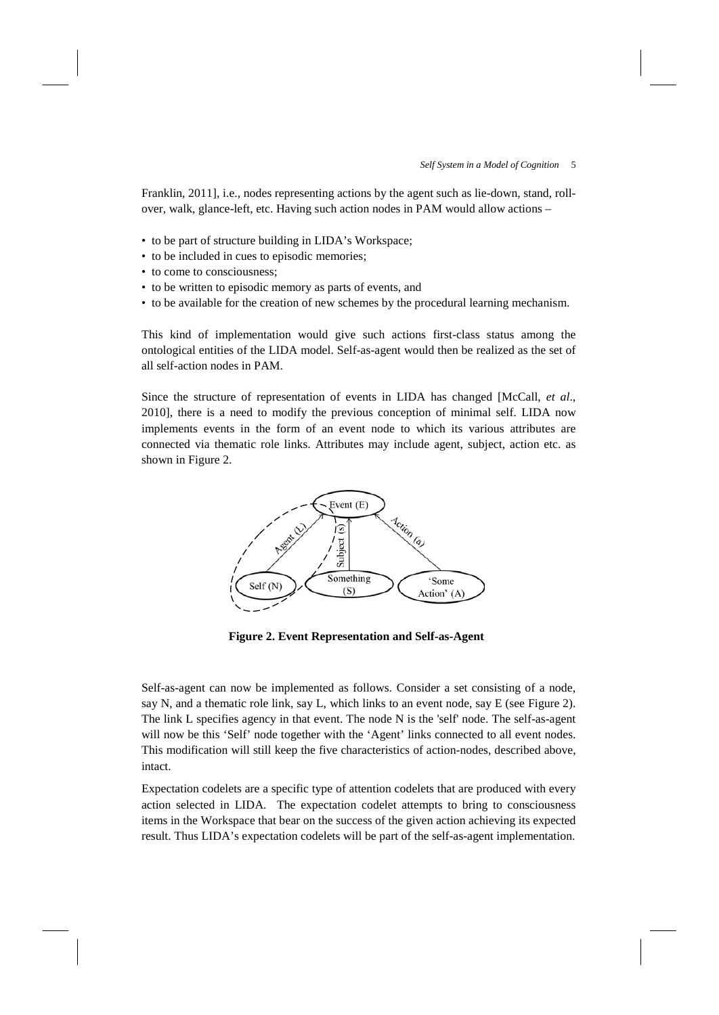Franklin, 2011], i.e., nodes representing actions by the agent such as lie-down, stand, rollover, walk, glance-left, etc. Having such action nodes in PAM would allow actions –

- to be part of structure building in LIDA's Workspace;
- to be included in cues to episodic memories;
- to come to consciousness;
- to be written to episodic memory as parts of events, and
- to be available for the creation of new schemes by the procedural learning mechanism.

This kind of implementation would give such actions first-class status among the ontological entities of the LIDA model. Self-as-agent would then be realized as the set of all self-action nodes in PAM.

Since the structure of representation of events in LIDA has changed [McCall, *et al*., 2010], there is a need to modify the previous conception of minimal self. LIDA now implements events in the form of an event node to which its various attributes are connected via thematic role links. Attributes may include agent, subject, action etc. as shown in Figure 2.



**Figure 2. Event Representation and Self-as-Agent**

Self-as-agent can now be implemented as follows. Consider a set consisting of a node, say N, and a thematic role link, say L, which links to an event node, say E (see Figure 2). The link L specifies agency in that event. The node N is the 'self' node. The self-as-agent will now be this 'Self' node together with the 'Agent' links connected to all event nodes. This modification will still keep the five characteristics of action-nodes, described above, intact.

Expectation codelets are a specific type of attention codelets that are produced with every action selected in LIDA. The expectation codelet attempts to bring to consciousness items in the Workspace that bear on the success of the given action achieving its expected result. Thus LIDA's expectation codelets will be part of the self-as-agent implementation.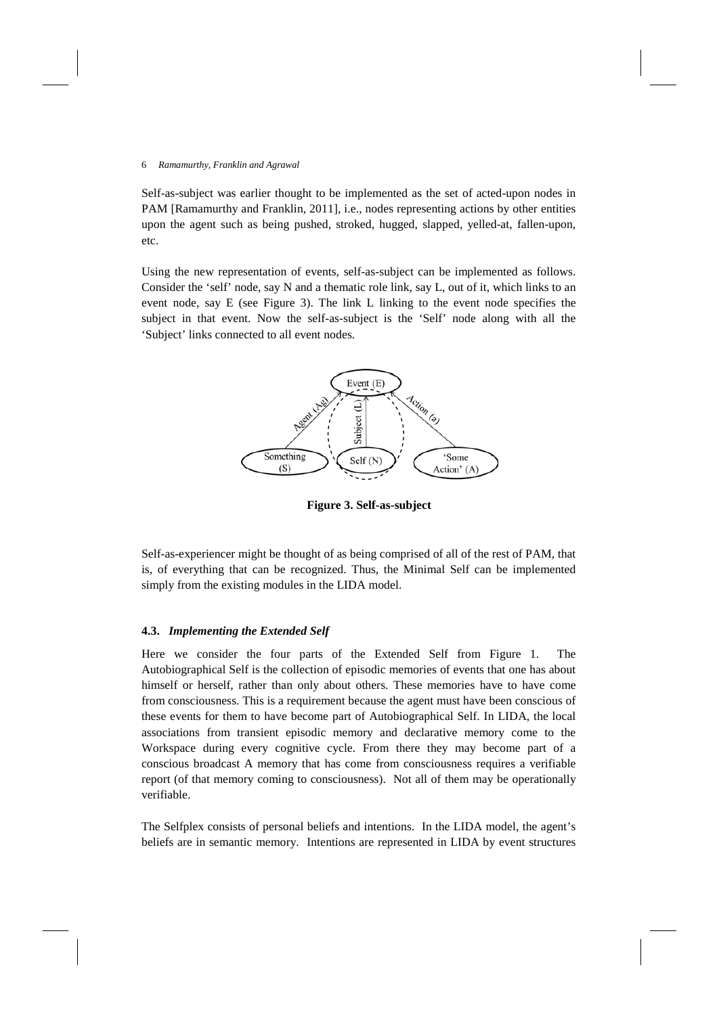Self-as-subject was earlier thought to be implemented as the set of acted-upon nodes in PAM [Ramamurthy and Franklin, 2011], i.e., nodes representing actions by other entities upon the agent such as being pushed, stroked, hugged, slapped, yelled-at, fallen-upon, etc.

Using the new representation of events, self-as-subject can be implemented as follows. Consider the 'self' node, say N and a thematic role link, say L, out of it, which links to an event node, say E (see Figure 3). The link L linking to the event node specifies the subject in that event. Now the self-as-subject is the 'Self' node along with all the 'Subject' links connected to all event nodes.



**Figure 3. Self-as-subject**

Self-as-experiencer might be thought of as being comprised of all of the rest of PAM, that is, of everything that can be recognized. Thus, the Minimal Self can be implemented simply from the existing modules in the LIDA model.

## **4.3.** *Implementing the Extended Self*

Here we consider the four parts of the Extended Self from Figure 1. The Autobiographical Self is the collection of episodic memories of events that one has about himself or herself, rather than only about others. These memories have to have come from consciousness. This is a requirement because the agent must have been conscious of these events for them to have become part of Autobiographical Self. In LIDA, the local associations from transient episodic memory and declarative memory come to the Workspace during every cognitive cycle. From there they may become part of a conscious broadcast A memory that has come from consciousness requires a verifiable report (of that memory coming to consciousness). Not all of them may be operationally verifiable.

The Selfplex consists of personal beliefs and intentions. In the LIDA model, the agent's beliefs are in semantic memory. Intentions are represented in LIDA by event structures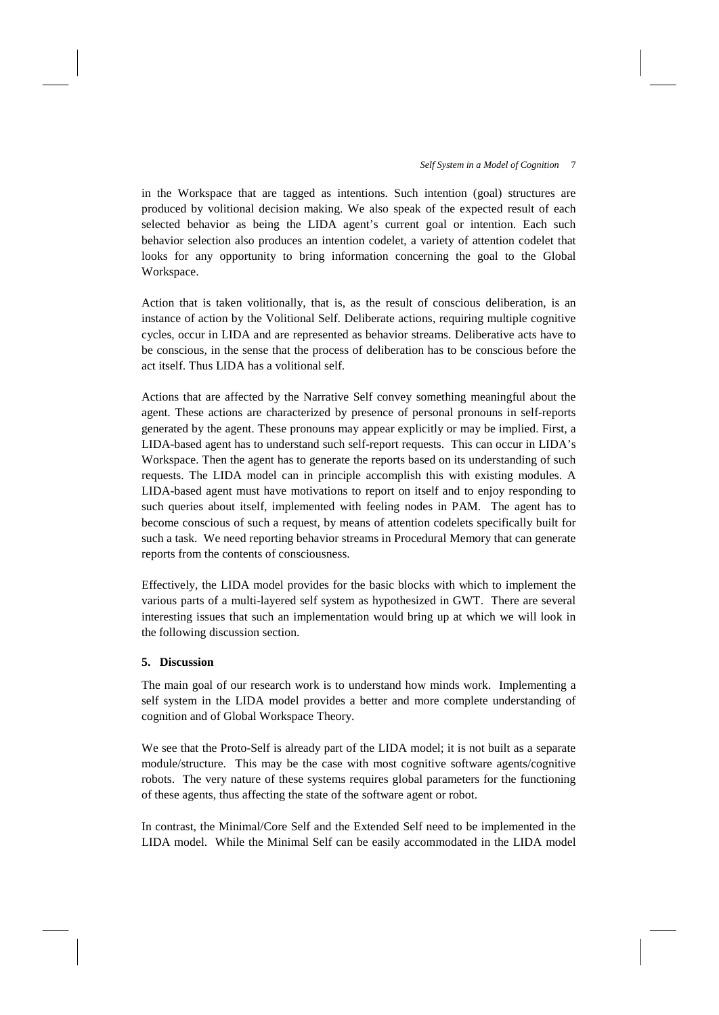in the Workspace that are tagged as intentions. Such intention (goal) structures are produced by volitional decision making. We also speak of the expected result of each selected behavior as being the LIDA agent's current goal or intention. Each such behavior selection also produces an intention codelet, a variety of attention codelet that looks for any opportunity to bring information concerning the goal to the Global Workspace.

Action that is taken volitionally, that is, as the result of conscious deliberation, is an instance of action by the Volitional Self. Deliberate actions, requiring multiple cognitive cycles, occur in LIDA and are represented as behavior streams. Deliberative acts have to be conscious, in the sense that the process of deliberation has to be conscious before the act itself. Thus LIDA has a volitional self.

Actions that are affected by the Narrative Self convey something meaningful about the agent. These actions are characterized by presence of personal pronouns in self-reports generated by the agent. These pronouns may appear explicitly or may be implied. First, a LIDA-based agent has to understand such self-report requests. This can occur in LIDA's Workspace. Then the agent has to generate the reports based on its understanding of such requests. The LIDA model can in principle accomplish this with existing modules. A LIDA-based agent must have motivations to report on itself and to enjoy responding to such queries about itself, implemented with feeling nodes in PAM. The agent has to become conscious of such a request, by means of attention codelets specifically built for such a task. We need reporting behavior streams in Procedural Memory that can generate reports from the contents of consciousness.

Effectively, the LIDA model provides for the basic blocks with which to implement the various parts of a multi-layered self system as hypothesized in GWT. There are several interesting issues that such an implementation would bring up at which we will look in the following discussion section.

#### **5. Discussion**

The main goal of our research work is to understand how minds work. Implementing a self system in the LIDA model provides a better and more complete understanding of cognition and of Global Workspace Theory.

We see that the Proto-Self is already part of the LIDA model; it is not built as a separate module/structure. This may be the case with most cognitive software agents/cognitive robots. The very nature of these systems requires global parameters for the functioning of these agents, thus affecting the state of the software agent or robot.

In contrast, the Minimal/Core Self and the Extended Self need to be implemented in the LIDA model. While the Minimal Self can be easily accommodated in the LIDA model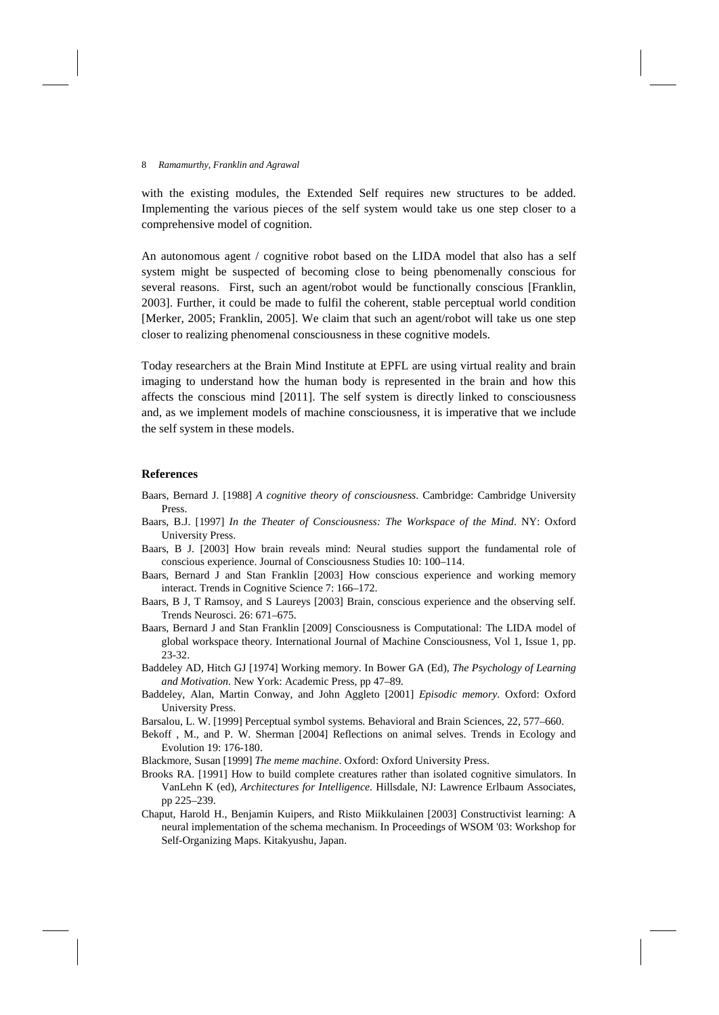with the existing modules, the Extended Self requires new structures to be added. Implementing the various pieces of the self system would take us one step closer to a comprehensive model of cognition.

An autonomous agent / cognitive robot based on the LIDA model that also has a self system might be suspected of becoming close to being pbenomenally conscious for several reasons. First, such an agent/robot would be functionally conscious [Franklin, 2003]. Further, it could be made to fulfil the coherent, stable perceptual world condition [Merker, 2005; Franklin, 2005]. We claim that such an agent/robot will take us one step closer to realizing phenomenal consciousness in these cognitive models.

Today researchers at the Brain Mind Institute at EPFL are using virtual reality and brain imaging to understand how the human body is represented in the brain and how this affects the conscious mind [2011]. The self system is directly linked to consciousness and, as we implement models of machine consciousness, it is imperative that we include the self system in these models.

### **References**

- Baars, Bernard J. [1988] *A cognitive theory of consciousness*. Cambridge: Cambridge University Press.
- Baars, B.J. [1997] *In the Theater of Consciousness: The Workspace of the Mind*. NY: Oxford University Press.
- Baars, B J. [2003] How brain reveals mind: Neural studies support the fundamental role of conscious experience. Journal of Consciousness Studies 10: 100–114.
- Baars, Bernard J and Stan Franklin [2003] How conscious experience and working memory interact. Trends in Cognitive Science 7: 166–172.
- Baars, B J, T Ramsoy, and S Laureys [2003] Brain, conscious experience and the observing self. Trends Neurosci. 26: 671–675.
- Baars, Bernard J and Stan Franklin [2009] Consciousness is Computational: The LIDA model of global workspace theory. International Journal of Machine Consciousness, Vol 1, Issue 1, pp. 23-32.
- Baddeley AD, Hitch GJ [1974] Working memory. In Bower GA (Ed), *The Psychology of Learning and Motivation*. New York: Academic Press, pp 47–89.
- Baddeley, Alan, Martin Conway, and John Aggleto [2001] *Episodic memory*. Oxford: Oxford University Press.
- Barsalou, L. W. [1999] Perceptual symbol systems. Behavioral and Brain Sciences, 22, 577–660.
- Bekoff , M., and P. W. Sherman [2004] Reflections on animal selves. Trends in Ecology and Evolution 19: 176-180.
- Blackmore, Susan [1999] *The meme machine*. Oxford: Oxford University Press.
- Brooks RA. [1991] How to build complete creatures rather than isolated cognitive simulators. In VanLehn K (ed), *Architectures for Intelligence*. Hillsdale, NJ: Lawrence Erlbaum Associates, pp 225–239.
- Chaput, Harold H., Benjamin Kuipers, and Risto Miikkulainen [2003] Constructivist learning: A neural implementation of the schema mechanism. In Proceedings of WSOM '03: Workshop for Self-Organizing Maps. Kitakyushu, Japan.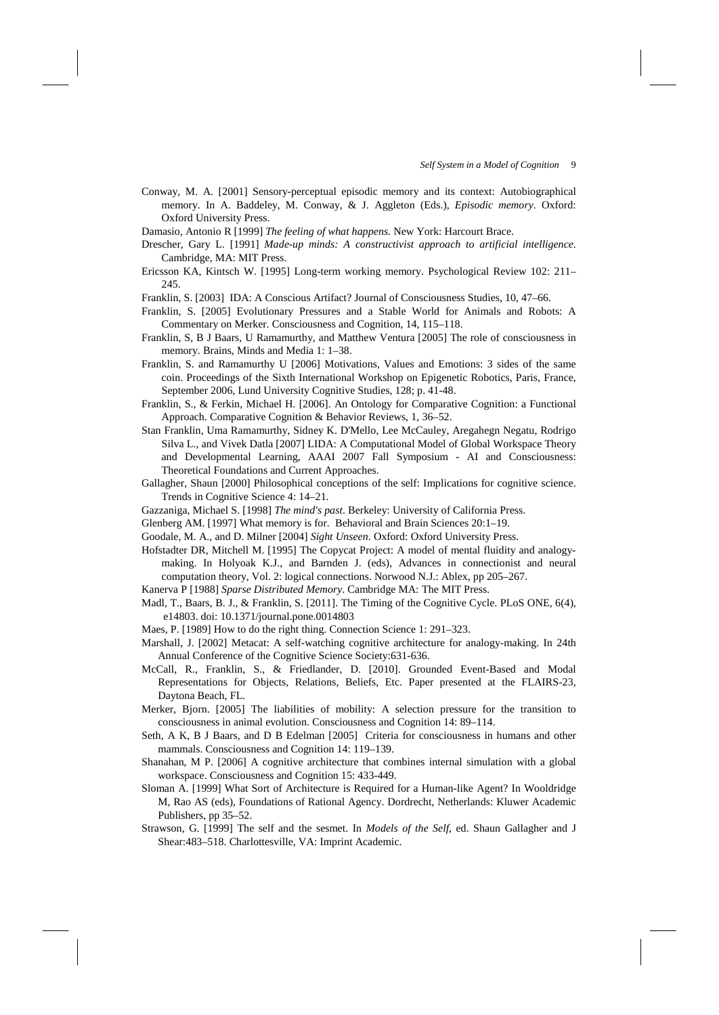- Conway, M. A. [2001] Sensory-perceptual episodic memory and its context: Autobiographical memory. In A. Baddeley, M. Conway, & J. Aggleton (Eds.), *Episodic memory*. Oxford: Oxford University Press.
- Damasio, Antonio R [1999] *The feeling of what happens*. New York: Harcourt Brace.
- Drescher, Gary L. [1991] *Made-up minds: A constructivist approach to artificial intelligence*. Cambridge, MA: MIT Press.
- Ericsson KA, Kintsch W. [1995] Long-term working memory. Psychological Review 102: 211– 245.

Franklin, S. [2003] IDA: A Conscious Artifact? Journal of Consciousness Studies, 10, 47–66.

- Franklin, S. [2005] Evolutionary Pressures and a Stable World for Animals and Robots: A Commentary on Merker. Consciousness and Cognition, 14, 115–118.
- Franklin, S, B J Baars, U Ramamurthy, and Matthew Ventura [2005] The role of consciousness in memory. Brains, Minds and Media 1: 1–38.
- Franklin, S. and Ramamurthy U [2006] Motivations, Values and Emotions: 3 sides of the same coin. Proceedings of the Sixth International Workshop on Epigenetic Robotics, Paris, France, September 2006, Lund University Cognitive Studies, 128; p. 41-48.
- Franklin, S., & Ferkin, Michael H. [2006]. An Ontology for Comparative Cognition: a Functional Approach. Comparative Cognition & Behavior Reviews, 1, 36–52.
- Stan Franklin, Uma Ramamurthy, Sidney K. D'Mello, Lee McCauley, Aregahegn Negatu, Rodrigo Silva L., and Vivek Datla [2007] LIDA: A Computational Model of Global Workspace Theory and Developmental Learning, AAAI 2007 Fall Symposium - AI and Consciousness: Theoretical Foundations and Current Approaches.
- Gallagher, Shaun [2000] Philosophical conceptions of the self: Implications for cognitive science. Trends in Cognitive Science 4: 14–21.
- Gazzaniga, Michael S. [1998] *The mind's past*. Berkeley: University of California Press.
- Glenberg AM. [1997] What memory is for. Behavioral and Brain Sciences 20:1–19.
- Goodale, M. A., and D. Milner [2004] *Sight Unseen*. Oxford: Oxford University Press.
- Hofstadter DR, Mitchell M. [1995] The Copycat Project: A model of mental fluidity and analogymaking. In Holyoak K.J., and Barnden J. (eds), Advances in connectionist and neural computation theory, Vol. 2: logical connections. Norwood N.J.: Ablex, pp 205–267.
- Kanerva P [1988] *Sparse Distributed Memory*. Cambridge MA: The MIT Press.
- Madl, T., Baars, B. J., & Franklin, S. [2011]. The Timing of the Cognitive Cycle. PLoS ONE, 6(4), e14803. doi: 10.1371/journal.pone.0014803
- Maes, P. [1989] How to do the right thing. Connection Science 1: 291–323.
- Marshall, J. [2002] Metacat: A self-watching cognitive architecture for analogy-making. In 24th Annual Conference of the Cognitive Science Society:631-636.
- McCall, R., Franklin, S., & Friedlander, D. [2010]. Grounded Event-Based and Modal Representations for Objects, Relations, Beliefs, Etc. Paper presented at the FLAIRS-23, Daytona Beach, FL.
- Merker, Bjorn. [2005] The liabilities of mobility: A selection pressure for the transition to consciousness in animal evolution. Consciousness and Cognition 14: 89–114.
- Seth, A K, B J Baars, and D B Edelman [2005] Criteria for consciousness in humans and other mammals. Consciousness and Cognition 14: 119–139.
- Shanahan, M P. [2006] A cognitive architecture that combines internal simulation with a global workspace. Consciousness and Cognition 15: 433-449.
- Sloman A. [1999] What Sort of Architecture is Required for a Human-like Agent? In Wooldridge M, Rao AS (eds), Foundations of Rational Agency. Dordrecht, Netherlands: Kluwer Academic Publishers, pp 35–52.
- Strawson, G. [1999] The self and the sesmet. In *Models of the Self*, ed. Shaun Gallagher and J Shear:483–518. Charlottesville, VA: Imprint Academic.